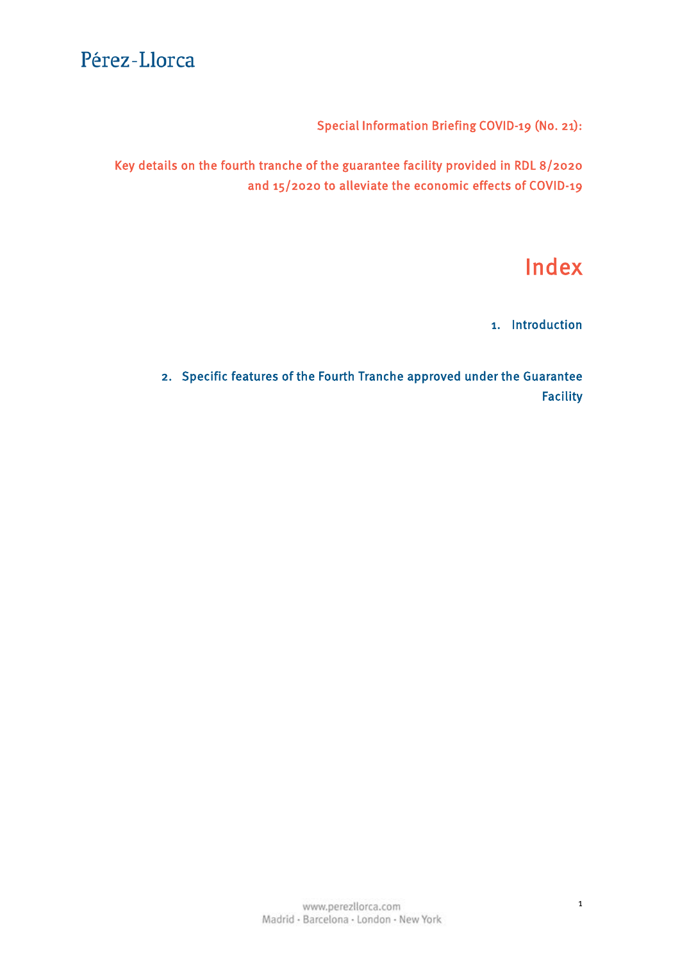Special Information Briefing COVID-19 (No. 21):

Key details on the fourth tranche of the guarantee facility provided in RDL 8/2020 and 15/2020 to alleviate the economic effects of COVID-19

# Index

1. [Introduction](#page-1-0)

2. [Specific features of the Fourth Tranche approved under the Guarantee](#page-2-0) Facility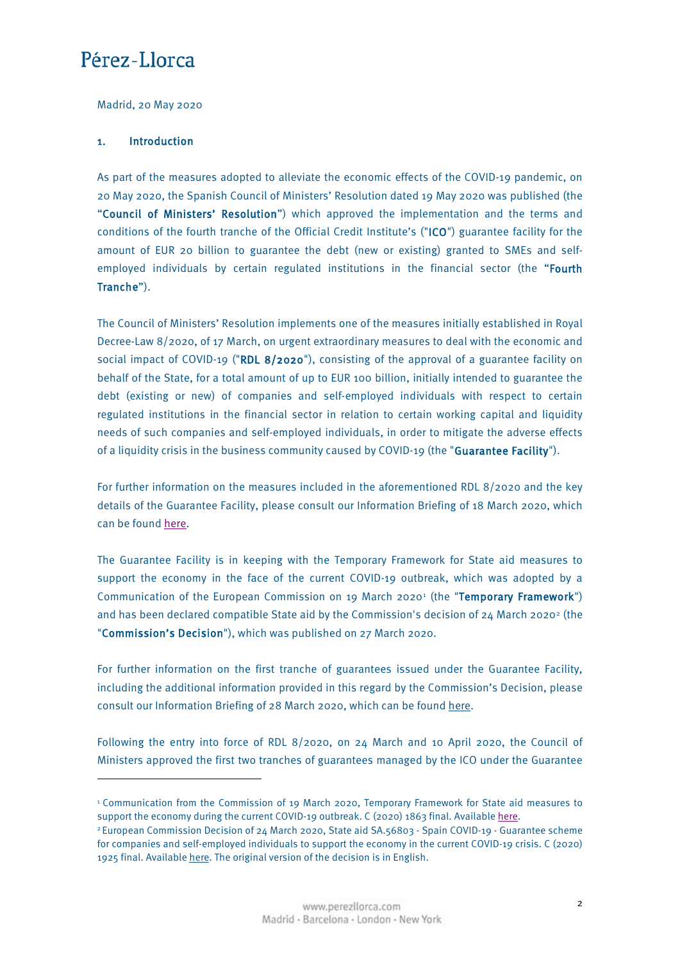<span id="page-1-0"></span>Madrid, 20 May 2020

#### 1. Introduction

**.** 

As part of the measures adopted to alleviate the economic effects of the COVID-19 pandemic, on 20 May 2020, the Spanish Council of Ministers' Resolution dated 19 May 2020 was published (the "Council of Ministers' Resolution") which approved the implementation and the terms and conditions of the fourth tranche of the Official Credit Institute's ("ICO") guarantee facility for the amount of EUR 20 billion to guarantee the debt (new or existing) granted to SMEs and selfemployed individuals by certain regulated institutions in the financial sector (the "Fourth Tranche").

The Council of Ministers' Resolution implements one of the measures initially established in Royal Decree-Law 8/2020, of 17 March, on urgent extraordinary measures to deal with the economic and social impact of COVID-19 ("RDL 8/2020"), consisting of the approval of a guarantee facility on behalf of the State, for a total amount of up to EUR 100 billion, initially intended to guarantee the debt (existing or new) of companies and self-employed individuals with respect to certain regulated institutions in the financial sector in relation to certain working capital and liquidity needs of such companies and self-employed individuals, in order to mitigate the adverse effects of a liquidity crisis in the business community caused by COVID-19 (the "Guarantee Facility").

For further information on the measures included in the aforementioned RDL 8/2020 and the key details of the Guarantee Facility, please consult our Information Briefing of 18 March 2020, which can be found [here.](https://www.perezllorca.com/wp-content/uploads/2020/03/perez-llorca-nota-informativa-especial-covid-19-n-4.pdf)

The Guarantee Facility is in keeping with the Temporary Framework for State aid measures to support the economy in the face of the current COVID-19 outbreak, which was adopted by a Communication of the European Commission on [1](#page-1-1)9 March 2020<sup>1</sup> (the "Temporary Framework") and has been declared compatible State aid by the Commission's decision of [2](#page-1-2)4 March 2020<sup>2</sup> (the "Commission's Decision"), which was published on 27 March 2020.

For further information on the first tranche of guarantees issued under the Guarantee Facility, including the additional information provided in this regard by the Commission's Decision, please consult our Information Briefing of 28 March 2020, which can be found [here.](https://www.perezllorca.com/wp-content/uploads/2020/03/perez-llorca-special-information-briefing-no-8.pdf)

Following the entry into force of RDL 8/2020, on 24 March and 10 April 2020, the Council of Ministers approved the first two tranches of guarantees managed by the ICO under the Guarantee

<span id="page-1-1"></span><sup>1</sup> Communication from the Commission of 19 March 2020, Temporary Framework for State aid measures to support the economy during the current COVID-19 outbreak. C (2020) 1863 final. Available [here.](https://ec.europa.eu/competition/state_aid/what_is_new/sa_covid19_temporary-framework.pdf)

<span id="page-1-2"></span><sup>2</sup> European Commission Decision of 24 March 2020, State aid SA.56803 - Spain COVID-19 - Guarantee scheme for companies and self-employed individuals to support the economy in the current COVID-19 crisis. C (2020) 1925 final. Available [here.](https://ec.europa.eu/competition/state_aid/cases1/202013/285233_2142736_57_2.pdf) The original version of the decision is in English.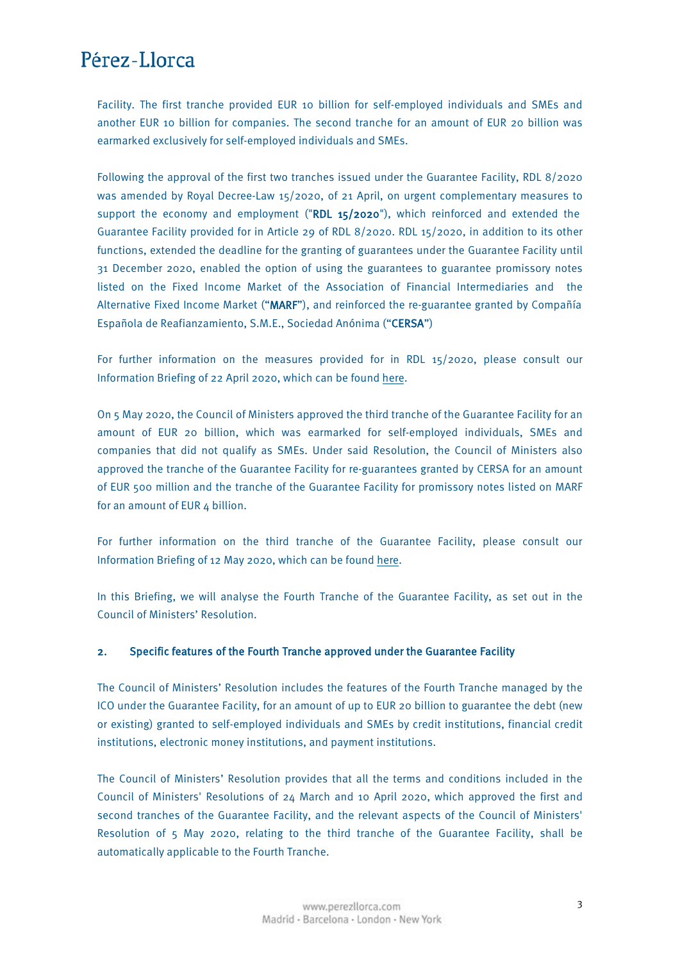<span id="page-2-0"></span>Facility. The first tranche provided EUR 10 billion for self-employed individuals and SMEs and another EUR 10 billion for companies. The second tranche for an amount of EUR 20 billion was earmarked exclusively for self-employed individuals and SMEs.

Following the approval of the first two tranches issued under the Guarantee Facility, RDL 8/2020 was amended by Royal Decree-Law 15/2020, of 21 April, on urgent complementary measures to support the economy and employment ("RDL  $15/2020$ "), which reinforced and extended the Guarantee Facility provided for in Article 29 of RDL 8/2020. RDL 15/2020, in addition to its other functions, extended the deadline for the granting of guarantees under the Guarantee Facility until 31 December 2020, enabled the option of using the guarantees to guarantee promissory notes listed on the Fixed Income Market of the Association of Financial Intermediaries and the Alternative Fixed Income Market ("MARF"), and reinforced the re-guarantee granted by Compañía Española de Reafianzamiento, S.M.E., Sociedad Anónima ("CERSA")

For further information on the measures provided for in RDL 15/2020, please consult our Information Briefing of 22 April 2020, which can be found [here.](https://www.perezllorca.com/wp-content/uploads/2020/04/special-information-briefing-covid-19-no-14-royal-decree-law-152020-1.pdf)

On 5 May 2020, the Council of Ministers approved the third tranche of the Guarantee Facility for an amount of EUR 20 billion, which was earmarked for self-employed individuals, SMEs and companies that did not qualify as SMEs. Under said Resolution, the Council of Ministers also approved the tranche of the Guarantee Facility for re-guarantees granted by CERSA for an amount of EUR 500 million and the tranche of the Guarantee Facility for promissory notes listed on MARF for an amount of EUR 4 billion.

For further information on the third tranche of the Guarantee Facility, please consult our Information Briefing of 12 May 2020, which can be found [here.](https://www.perezllorca.com/wp-content/uploads/2020/05/special-information-briefing-covid-19-no-19-third-tranche-of-the-guarantee-facility.pdf)

In this Briefing, we will analyse the Fourth Tranche of the Guarantee Facility, as set out in the Council of Ministers' Resolution.

#### 2. Specific features of the Fourth Tranche approved under the Guarantee Facility

The Council of Ministers' Resolution includes the features of the Fourth Tranche managed by the ICO under the Guarantee Facility, for an amount of up to EUR 20 billion to guarantee the debt (new or existing) granted to self-employed individuals and SMEs by credit institutions, financial credit institutions, electronic money institutions, and payment institutions.

The Council of Ministers' Resolution provides that all the terms and conditions included in the Council of Ministers' Resolutions of 24 March and 10 April 2020, which approved the first and second tranches of the Guarantee Facility, and the relevant aspects of the Council of Ministers' Resolution of 5 May 2020, relating to the third tranche of the Guarantee Facility, shall be automatically applicable to the Fourth Tranche.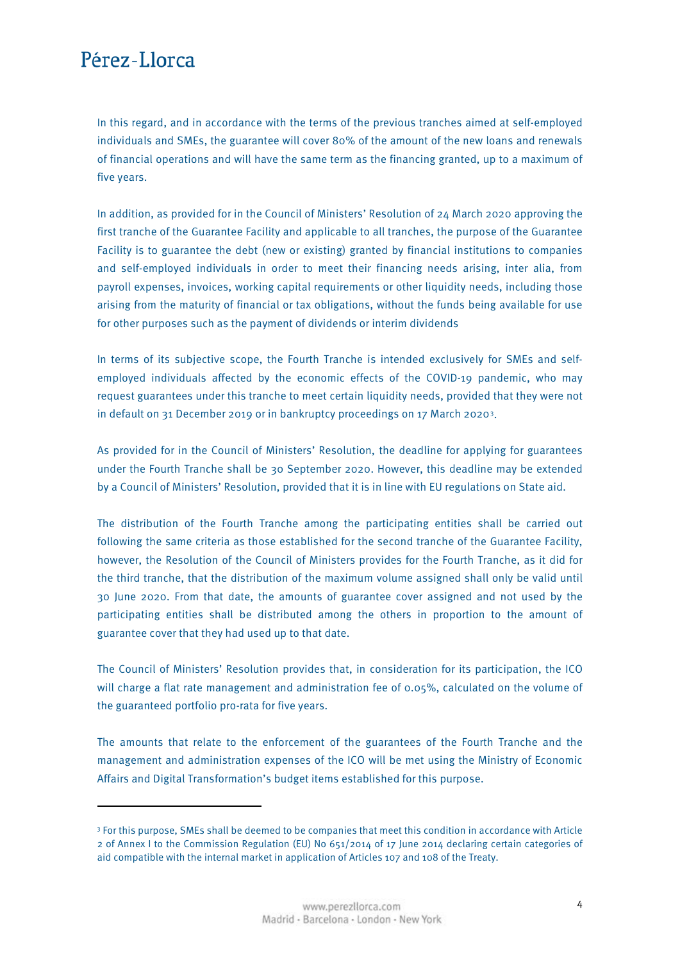**.** 

In this regard, and in accordance with the terms of the previous tranches aimed at self-employed individuals and SMEs, the guarantee will cover 80% of the amount of the new loans and renewals of financial operations and will have the same term as the financing granted, up to a maximum of five years.

In addition, as provided for in the Council of Ministers' Resolution of 24 March 2020 approving the first tranche of the Guarantee Facility and applicable to all tranches, the purpose of the Guarantee Facility is to guarantee the debt (new or existing) granted by financial institutions to companies and self-employed individuals in order to meet their financing needs arising, inter alia, from payroll expenses, invoices, working capital requirements or other liquidity needs, including those arising from the maturity of financial or tax obligations, without the funds being available for use for other purposes such as the payment of dividends or interim dividends

In terms of its subjective scope, the Fourth Tranche is intended exclusively for SMEs and selfemployed individuals affected by the economic effects of the COVID-19 pandemic, who may request guarantees under this tranche to meet certain liquidity needs, provided that they were not in default on 31 December 2019 or in bankruptcy proceedings on 17 March 2020[3.](#page-3-0)

As provided for in the Council of Ministers' Resolution, the deadline for applying for guarantees under the Fourth Tranche shall be 30 September 2020. However, this deadline may be extended by a Council of Ministers' Resolution, provided that it is in line with EU regulations on State aid.

The distribution of the Fourth Tranche among the participating entities shall be carried out following the same criteria as those established for the second tranche of the Guarantee Facility, however, the Resolution of the Council of Ministers provides for the Fourth Tranche, as it did for the third tranche, that the distribution of the maximum volume assigned shall only be valid until 30 June 2020. From that date, the amounts of guarantee cover assigned and not used by the participating entities shall be distributed among the others in proportion to the amount of guarantee cover that they had used up to that date.

The Council of Ministers' Resolution provides that, in consideration for its participation, the ICO will charge a flat rate management and administration fee of 0.05%, calculated on the volume of the guaranteed portfolio pro-rata for five years.

The amounts that relate to the enforcement of the guarantees of the Fourth Tranche and the management and administration expenses of the ICO will be met using the Ministry of Economic Affairs and Digital Transformation's budget items established for this purpose.

<span id="page-3-0"></span><sup>3</sup> For this purpose, SMEs shall be deemed to be companies that meet this condition in accordance with Article 2 of Annex I to the Commission Regulation (EU) No 651/2014 of 17 June 2014 declaring certain categories of aid compatible with the internal market in application of Articles 107 and 108 of the Treaty.